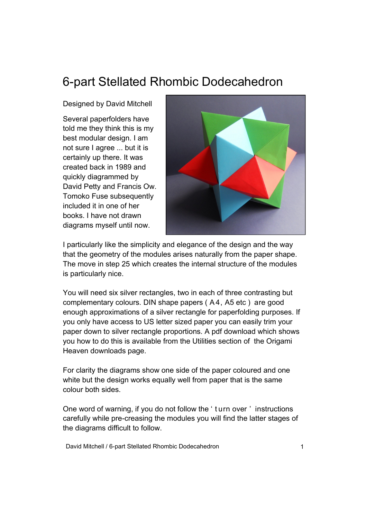## 6-part Stellated Rhombic Dodecahedron

Designed by David Mitchell

Several paperfolders have told me they think this is my best modular design. I am not sure I agree ... but it is certainly up there. It was created back in 1989 and quickly diagrammed by David Petty and Francis Ow. Tomoko Fuse subsequently included it in one of her books. I have not drawn diagrams myself until now.



I particularly like the simplicity and elegance of the design and the way that the geometry of the modules arises naturally from the paper shape. The move in step 25 which creates the internal structure of the modules is particularly nice.

You will need six silver rectangles, two in each of three contrasting but complementary colours. DIN shape papers ( A 4, A5 etc ) are good enough approximations of a silver rectangle for paperfolding purposes. If you only have access to US letter sized paper you can easily trim your paper down to silver rectangle proportions. A pdf download which shows you how to do this is available from the Utilities section of the Origami Heaven downloads page.

For clarity the diagrams show one side of the paper coloured and one white but the design works equally well from paper that is the same colour both sides.

One word of warning, if you do not follow the ' t urn over ' instructions carefully while pre-creasing the modules you will find the latter stages of the diagrams difficult to follow.

David Mitchell / 6-part Stellated Rhombic Dodecahedron 1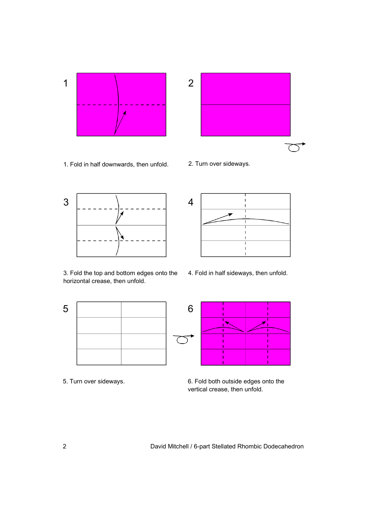



1. Fold in half downwards, then unfold. 2. Turn over sideways.



3. Fold the top and bottom edges onto the horizontal crease, then unfold.



- 4 ï
- 4. Fold in half sideways, then unfold.



5. Turn over sideways. 6. Fold both outside edges onto the vertical crease, then unfold.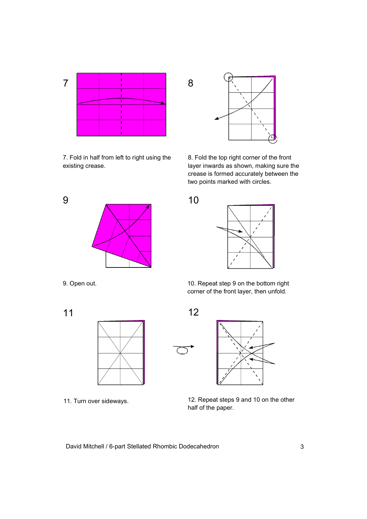

7. Fold in half from left to right using the existing crease.





8. Fold the top right corner of the front layer inwards as shown, making sure the crease is formed accurately between the two points marked with circles.



9. Open out.

11



11. Turn over sideways.

10. Repeat step 9 on the bottom right corner of the front layer, then unfold.



12. Repeat steps 9 and 10 on the other half of the paper.

David Mitchell / 6-part Stellated Rhombic Dodecahedron 3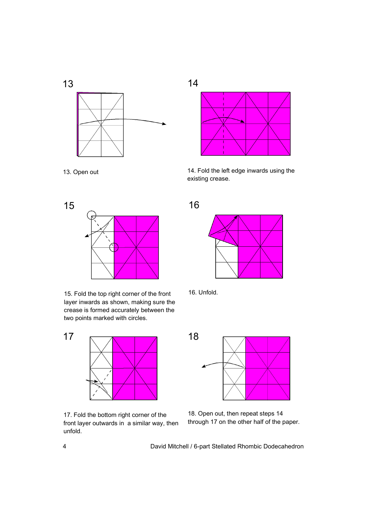

13. Open out



15. Fold the top right corner of the front 16. Unfold. layer inwards as shown, making sure the crease is formed accurately between the two points marked with circles.



17. Fold the bottom right corner of the front layer outwards in a similar way, then unfold.



14. Fold the left edge inwards using the existing crease.







18. Open out, then repeat steps 14 through 17 on the other half of the paper.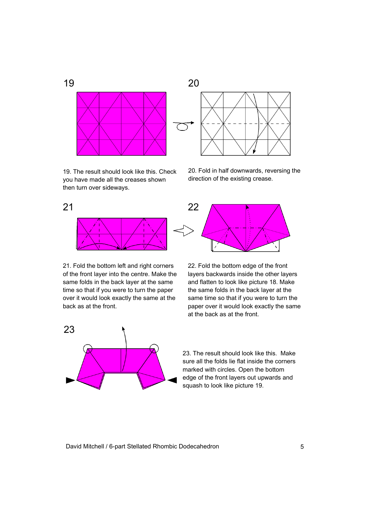

19. The result should look like this. Check you have made all the creases shown then turn over sideways.



20. Fold in half downwards, reversing the direction of the existing crease.



21. Fold the bottom left and right corners of the front layer into the centre. Make the same folds in the back layer at the same time so that if you were to turn the paper over it would look exactly the same at the back as at the front.





23. The result should look like this. Make sure all the folds lie flat inside the corners marked with circles. Open the bottom edge of the front layers out upwards and squash to look like picture 19.

David Mitchell / 6-part Stellated Rhombic Dodecahedron 5